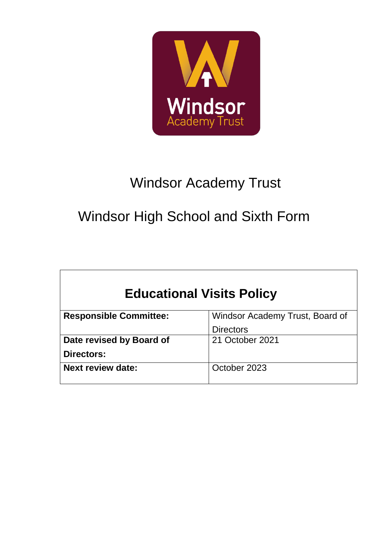

# Windsor Academy Trust

# Windsor High School and Sixth Form

 $\overline{\phantom{a}}$ 

| <b>Educational Visits Policy</b> |                                 |  |  |  |
|----------------------------------|---------------------------------|--|--|--|
| <b>Responsible Committee:</b>    | Windsor Academy Trust, Board of |  |  |  |
|                                  | <b>Directors</b>                |  |  |  |
| Date revised by Board of         | 21 October 2021                 |  |  |  |
| Directors:                       |                                 |  |  |  |
| <b>Next review date:</b>         | October 2023                    |  |  |  |
|                                  |                                 |  |  |  |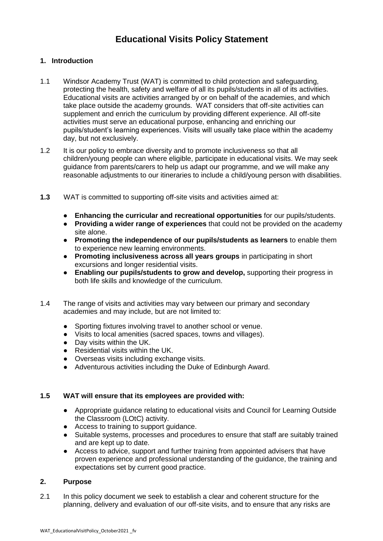### **Educational Visits Policy Statement**

#### **1. Introduction**

- 1.1 Windsor Academy Trust (WAT) is committed to child protection and safeguarding, protecting the health, safety and welfare of all its pupils/students in all of its activities. Educational visits are activities arranged by or on behalf of the academies, and which take place outside the academy grounds. WAT considers that off-site activities can supplement and enrich the curriculum by providing different experience. All off-site activities must serve an educational purpose, enhancing and enriching our pupils/student's learning experiences. Visits will usually take place within the academy day, but not exclusively.
- 1.2 It is our policy to embrace diversity and to promote inclusiveness so that all children/young people can where eligible, participate in educational visits. We may seek guidance from parents/carers to help us adapt our programme, and we will make any reasonable adjustments to our itineraries to include a child/young person with disabilities.
- **1.3** WAT is committed to supporting off-site visits and activities aimed at:
	- **Enhancing the curricular and recreational opportunities** for our pupils/students.
	- **Providing a wider range of experiences** that could not be provided on the academy site alone.
	- **Promoting the independence of our pupils/students as learners** to enable them to experience new learning environments.
	- **Promoting inclusiveness across all years groups** in participating in short excursions and longer residential visits.
	- **Enabling our pupils/students to grow and develop,** supporting their progress in both life skills and knowledge of the curriculum.
- 1.4 The range of visits and activities may vary between our primary and secondary academies and may include, but are not limited to:
	- Sporting fixtures involving travel to another school or venue.
	- Visits to local amenities (sacred spaces, towns and villages).
	- Day visits within the UK.
	- Residential visits within the UK.
	- Overseas visits including exchange visits.
	- Adventurous activities including the Duke of Edinburgh Award.

#### **1.5 WAT will ensure that its employees are provided with:**

- Appropriate guidance relating to educational visits and Council for Learning Outside the Classroom (LOtC) activity.
- Access to training to support guidance.
- Suitable systems, processes and procedures to ensure that staff are suitably trained and are kept up to date.
- Access to advice, support and further training from appointed advisers that have proven experience and professional understanding of the guidance, the training and expectations set by current good practice.

#### **2. Purpose**

2.1 In this policy document we seek to establish a clear and coherent structure for the planning, delivery and evaluation of our off-site visits, and to ensure that any risks are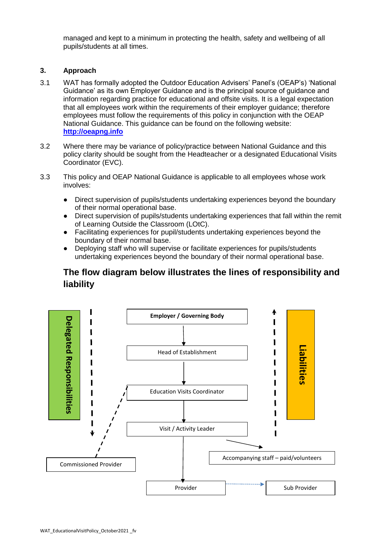managed and kept to a minimum in protecting the health, safety and wellbeing of all pupils/students at all times.

#### **3. Approach**

- 3.1 WAT has formally adopted the Outdoor Education Advisers' Panel's (OEAP's) 'National Guidance' as its own Employer Guidance and is the principal source of guidance and information regarding practice for educational and offsite visits. It is a legal expectation that all employees work within the requirements of their employer guidance; therefore employees must follow the requirements of this policy in conjunction with the OEAP National Guidance. This guidance can be found on the following website: **[http://oeapng.info](http://oeapng.info/)**
- 3.2 Where there may be variance of policy/practice between National Guidance and this policy clarity should be sought from the Headteacher or a designated Educational Visits Coordinator (EVC).
- 3.3 This policy and OEAP National Guidance is applicable to all employees whose work involves:
	- Direct supervision of pupils/students undertaking experiences beyond the boundary of their normal operational base.
	- Direct supervision of pupils/students undertaking experiences that fall within the remit of Learning Outside the Classroom (LOtC).
	- Facilitating experiences for pupil/students undertaking experiences beyond the boundary of their normal base.
	- Deploying staff who will supervise or facilitate experiences for pupils/students undertaking experiences beyond the boundary of their normal operational base.

### **The flow diagram below illustrates the lines of responsibility and liability**

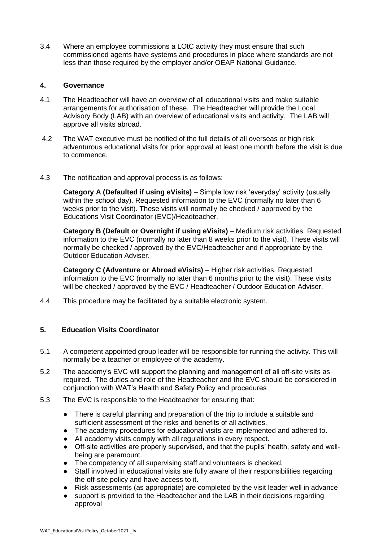3.4 Where an employee commissions a LOtC activity they must ensure that such commissioned agents have systems and procedures in place where standards are not less than those required by the employer and/or OEAP National Guidance.

#### **4. Governance**

- 4.1 The Headteacher will have an overview of all educational visits and make suitable arrangements for authorisation of these. The Headteacher will provide the Local Advisory Body (LAB) with an overview of educational visits and activity. The LAB will approve all visits abroad.
- 4.2 The WAT executive must be notified of the full details of all overseas or high risk adventurous educational visits for prior approval at least one month before the visit is due to commence.
- 4.3 The notification and approval process is as follows:

**Category A (Defaulted if using eVisits)** – Simple low risk 'everyday' activity (usually within the school day). Requested information to the EVC (normally no later than 6 weeks prior to the visit). These visits will normally be checked / approved by the Educations Visit Coordinator (EVC)/Headteacher.

**Category B (Default or Overnight if using eVisits)** – Medium risk activities. Requested information to the EVC (normally no later than 8 weeks prior to the visit). These visits will normally be checked / approved by the EVC/Headteacher and if appropriate by the Outdoor Education Adviser.

**Category C (Adventure or Abroad eVisits)** – Higher risk activities. Requested information to the EVC (normally no later than 6 months prior to the visit). These visits will be checked / approved by the EVC / Headteacher / Outdoor Education Adviser.

4.4 This procedure may be facilitated by a suitable electronic system.

#### **5. Education Visits Coordinator**

- 5.1 A competent appointed group leader will be responsible for running the activity. This will normally be a teacher or employee of the academy.
- 5.2 The academy's EVC will support the planning and management of all off-site visits as required. The duties and role of the Headteacher and the EVC should be considered in conjunction with WAT's Health and Safety Policy and procedures
- 5.3 The EVC is responsible to the Headteacher for ensuring that:
	- There is careful planning and preparation of the trip to include a suitable and sufficient assessment of the risks and benefits of all activities.
	- The academy procedures for educational visits are implemented and adhered to.
	- All academy visits comply with all regulations in every respect.
	- Off-site activities are properly supervised, and that the pupils' health, safety and wellbeing are paramount.
	- The competency of all supervising staff and volunteers is checked.
	- Staff involved in educational visits are fully aware of their responsibilities regarding the off-site policy and have access to it.
	- Risk assessments (as appropriate) are completed by the visit leader well in advance
	- support is provided to the Headteacher and the LAB in their decisions regarding approval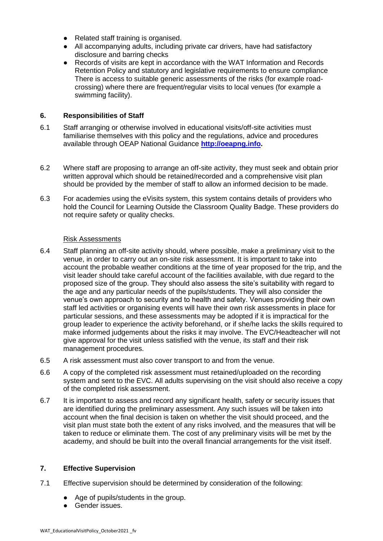- Related staff training is organised.
- All accompanying adults, including private car drivers, have had satisfactory disclosure and barring checks
- Records of visits are kept in accordance with the WAT Information and Records Retention Policy and statutory and legislative requirements to ensure compliance There is access to suitable generic assessments of the risks (for example roadcrossing) where there are frequent/regular visits to local venues (for example a swimming facility).

#### **6. Responsibilities of Staff**

- 6.1 Staff arranging or otherwise involved in educational visits/off-site activities must familiarise themselves with this policy and the regulations, advice and procedures available through OEAP National Guidance **[http://oeapng.info.](http://oeapng.info/)**
- 6.2 Where staff are proposing to arrange an off-site activity, they must seek and obtain prior written approval which should be retained/recorded and a comprehensive visit plan should be provided by the member of staff to allow an informed decision to be made.
- 6.3 For academies using the eVisits system, this system contains details of providers who hold the Council for Learning Outside the Classroom Quality Badge. These providers do not require safety or quality checks.

#### Risk Assessments

- 6.4 Staff planning an off-site activity should, where possible, make a preliminary visit to the venue, in order to carry out an on-site risk assessment. It is important to take into account the probable weather conditions at the time of year proposed for the trip, and the visit leader should take careful account of the facilities available, with due regard to the proposed size of the group. They should also assess the site's suitability with regard to the age and any particular needs of the pupils/students. They will also consider the venue's own approach to security and to health and safety. Venues providing their own staff led activities or organising events will have their own risk assessments in place for particular sessions, and these assessments may be adopted if it is impractical for the group leader to experience the activity beforehand, or if she/he lacks the skills required to make informed judgements about the risks it may involve. The EVC/Headteacher will not give approval for the visit unless satisfied with the venue, its staff and their risk management procedures.
- 6.5 A risk assessment must also cover transport to and from the venue.
- 6.6 A copy of the completed risk assessment must retained/uploaded on the recording system and sent to the EVC. All adults supervising on the visit should also receive a copy of the completed risk assessment.
- 6.7 It is important to assess and record any significant health, safety or security issues that are identified during the preliminary assessment. Any such issues will be taken into account when the final decision is taken on whether the visit should proceed, and the visit plan must state both the extent of any risks involved, and the measures that will be taken to reduce or eliminate them. The cost of any preliminary visits will be met by the academy, and should be built into the overall financial arrangements for the visit itself.

#### **7. Effective Supervision**

- 7.1 Effective supervision should be determined by consideration of the following:
	- Age of pupils/students in the group.
	- Gender issues.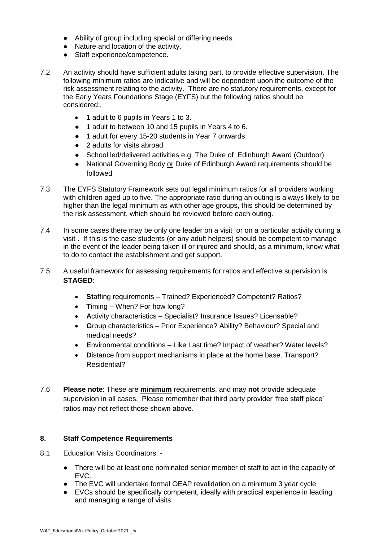- Ability of group including special or differing needs.
- Nature and location of the activity.
- Staff experience/competence.
- 7.2 An activity should have sufficient adults taking part. to provide effective supervision. The following minimum ratios are indicative and will be dependent upon the outcome of the risk assessment relating to the activity. There are no statutory requirements, except for the Early Years Foundations Stage (EYFS) but the following ratios should be considered:.
	- 1 adult to 6 pupils in Years 1 to 3.
	- 1 adult to between 10 and 15 pupils in Years 4 to 6.
	- 1 adult for every 15-20 students in Year 7 onwards
	- 2 adults for visits abroad
	- School led/delivered activities e.g. The Duke of Edinburgh Award (Outdoor)
	- National Governing Body or Duke of Edinburgh Award requirements should be followed
- 7.3 The EYFS Statutory Framework sets out legal minimum ratios for all providers working with children aged up to five. The appropriate ratio during an outing is always likely to be higher than the legal minimum as with other age groups, this should be determined by the risk assessment, which should be reviewed before each outing.
- 7.4 In some cases there may be only one leader on a visit or on a particular activity during a visit . If this is the case students (or any adult helpers) should be competent to manage in the event of the leader being taken ill or injured and should, as a minimum, know what to do to contact the establishment and get support.
- 7.5 A useful framework for assessing requirements for ratios and effective supervision is **STAGED**:
	- **St**affing requirements Trained? Experienced? Competent? Ratios?
	- Timing When? For how lona?
	- **A**ctivity characteristics Specialist? Insurance Issues? Licensable?
	- **G**roup characteristics Prior Experience? Ability? Behaviour? Special and medical needs?
	- **E**nvironmental conditions Like Last time? Impact of weather? Water levels?
	- **D**istance from support mechanisms in place at the home base. Transport? Residential?
- 7.6 **Please note**: These are **minimum** requirements, and may **not** provide adequate supervision in all cases. Please remember that third party provider 'free staff place' ratios may not reflect those shown above.

#### **8. Staff Competence Requirements**

- 8.1 Education Visits Coordinators:
	- There will be at least one nominated senior member of staff to act in the capacity of EVC.
	- The EVC will undertake formal OEAP revalidation on a minimum 3 year cycle
	- EVCs should be specifically competent, ideally with practical experience in leading and managing a range of visits.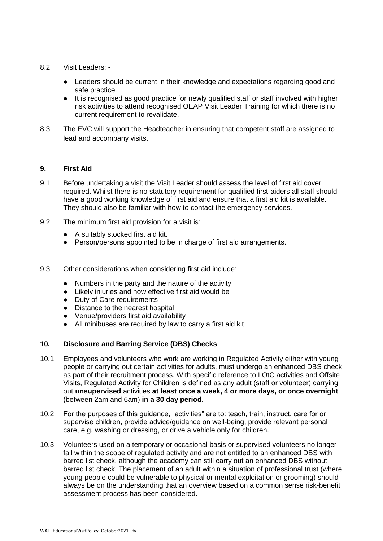- 8.2 Visit Leaders:
	- Leaders should be current in their knowledge and expectations regarding good and safe practice.
	- It is recognised as good practice for newly qualified staff or staff involved with higher risk activities to attend recognised OEAP Visit Leader Training for which there is no current requirement to revalidate.
- 8.3 The EVC will support the Headteacher in ensuring that competent staff are assigned to lead and accompany visits.

#### **9. First Aid**

- 9.1 Before undertaking a visit the Visit Leader should assess the level of first aid cover required. Whilst there is no statutory requirement for qualified first-aiders all staff should have a good working knowledge of first aid and ensure that a first aid kit is available. They should also be familiar with how to contact the emergency services.
- 9.2 The minimum first aid provision for a visit is:
	- A suitably stocked first aid kit.
	- Person/persons appointed to be in charge of first aid arrangements.
- 9.3 Other considerations when considering first aid include:
	- Numbers in the party and the nature of the activity
	- Likely injuries and how effective first aid would be
	- Duty of Care requirements
	- Distance to the nearest hospital
	- Venue/providers first aid availability
	- All minibuses are required by law to carry a first aid kit

#### **10. Disclosure and Barring Service (DBS) Checks**

- 10.1 Employees and volunteers who work are working in Regulated Activity either with young people or carrying out certain activities for adults, must undergo an enhanced DBS check as part of their recruitment process. With specific reference to LOtC activities and Offsite Visits, Regulated Activity for Children is defined as any adult (staff or volunteer) carrying out **unsupervised** activities **at least once a week, 4 or more days, or once overnight**  (between 2am and 6am) **in a 30 day period.**
- 10.2 For the purposes of this guidance, "activities" are to: teach, train, instruct, care for or supervise children, provide advice/guidance on well-being, provide relevant personal care, e.g. washing or dressing, or drive a vehicle only for children.
- 10.3 Volunteers used on a temporary or occasional basis or supervised volunteers no longer fall within the scope of regulated activity and are not entitled to an enhanced DBS with barred list check, although the academy can still carry out an enhanced DBS without barred list check. The placement of an adult within a situation of professional trust (where young people could be vulnerable to physical or mental exploitation or grooming) should always be on the understanding that an overview based on a common sense risk-benefit assessment process has been considered.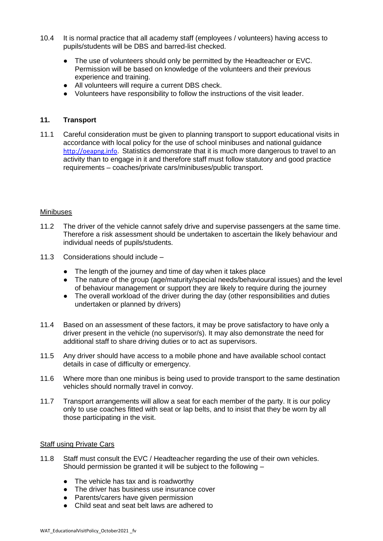- 10.4 It is normal practice that all academy staff (employees / volunteers) having access to pupils/students will be DBS and barred-list checked.
	- The use of volunteers should only be permitted by the Headteacher or EVC. Permission will be based on knowledge of the volunteers and their previous experience and training.
	- All volunteers will require a current DBS check.
	- Volunteers have responsibility to follow the instructions of the visit leader.

#### **11. Transport**

11.1 Careful consideration must be given to planning transport to support educational visits in accordance with local policy for the use of school minibuses and national guidance [http://oeapng.info.](http://oeapng.info/)Statistics demonstrate that it is much more dangerous to travel to an activity than to engage in it and therefore staff must follow statutory and good practice requirements – coaches/private cars/minibuses/public transport.

#### Minibuses

- 11.2 The driver of the vehicle cannot safely drive and supervise passengers at the same time. Therefore a risk assessment should be undertaken to ascertain the likely behaviour and individual needs of pupils/students.
- 11.3 Considerations should include
	- The length of the journey and time of day when it takes place
	- The nature of the group (age/maturity/special needs/behavioural issues) and the level of behaviour management or support they are likely to require during the journey
	- The overall workload of the driver during the day (other responsibilities and duties undertaken or planned by drivers)
- 11.4 Based on an assessment of these factors, it may be prove satisfactory to have only a driver present in the vehicle (no supervisor/s). It may also demonstrate the need for additional staff to share driving duties or to act as supervisors.
- 11.5 Any driver should have access to a mobile phone and have available school contact details in case of difficulty or emergency.
- 11.6 Where more than one minibus is being used to provide transport to the same destination vehicles should normally travel in convoy.
- 11.7 Transport arrangements will allow a seat for each member of the party. It is our policy only to use coaches fitted with seat or lap belts, and to insist that they be worn by all those participating in the visit.

#### Staff using Private Cars

- 11.8 Staff must consult the EVC / Headteacher regarding the use of their own vehicles. Should permission be granted it will be subject to the following –
	- The vehicle has tax and is roadworthy
	- The driver has business use insurance cover
	- Parents/carers have given permission
	- Child seat and seat belt laws are adhered to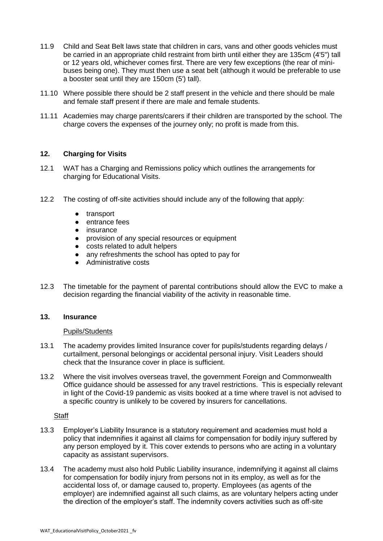- 11.9 Child and Seat Belt laws state that children in cars, vans and other goods vehicles must be carried in an appropriate child restraint from birth until either they are 135cm (4'5") tall or 12 years old, whichever comes first. There are very few exceptions (the rear of minibuses being one). They must then use a seat belt (although it would be preferable to use a booster seat until they are 150cm (5') tall).
- 11.10 Where possible there should be 2 staff present in the vehicle and there should be male and female staff present if there are male and female students.
- 11.11 Academies may charge parents/carers if their children are transported by the school. The charge covers the expenses of the journey only; no profit is made from this.

#### **12. Charging for Visits**

- 12.1 WAT has a Charging and Remissions policy which outlines the arrangements for charging for Educational Visits.
- 12.2 The costing of off-site activities should include any of the following that apply:
	- transport
	- entrance fees
	- insurance
	- provision of any special resources or equipment
	- costs related to adult helpers
	- any refreshments the school has opted to pay for
	- Administrative costs
- 12.3 The timetable for the payment of parental contributions should allow the EVC to make a decision regarding the financial viability of the activity in reasonable time.

#### **13. Insurance**

#### Pupils/Students

- 13.1 The academy provides limited Insurance cover for pupils/students regarding delays / curtailment, personal belongings or accidental personal injury. Visit Leaders should check that the Insurance cover in place is sufficient.
- 13.2 Where the visit involves overseas travel, the government Foreign and Commonwealth Office guidance should be assessed for any travel restrictions. This is especially relevant in light of the Covid-19 pandemic as visits booked at a time where travel is not advised to a specific country is unlikely to be covered by insurers for cancellations.

#### **Staff**

- 13.3 Employer's Liability Insurance is a statutory requirement and academies must hold a policy that indemnifies it against all claims for compensation for bodily injury suffered by any person employed by it. This cover extends to persons who are acting in a voluntary capacity as assistant supervisors.
- 13.4 The academy must also hold Public Liability insurance, indemnifying it against all claims for compensation for bodily injury from persons not in its employ, as well as for the accidental loss of, or damage caused to, property. Employees (as agents of the employer) are indemnified against all such claims, as are voluntary helpers acting under the direction of the employer's staff. The indemnity covers activities such as off-site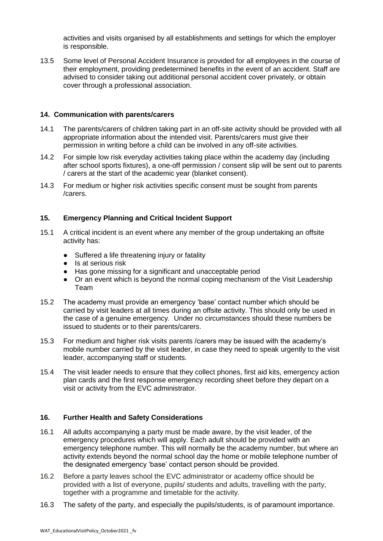activities and visits organised by all establishments and settings for which the employer is responsible.

13.5 Some level of Personal Accident Insurance is provided for all employees in the course of their employment, providing predetermined benefits in the event of an accident. Staff are advised to consider taking out additional personal accident cover privately, or obtain cover through a professional association.

#### **14. Communication with parents/carers**

- 14.1 The parents/carers of children taking part in an off-site activity should be provided with all appropriate information about the intended visit. Parents/carers must give their permission in writing before a child can be involved in any off-site activities.
- 14.2 For simple low risk everyday activities taking place within the academy day (including after school sports fixtures), a one-off permission / consent slip will be sent out to parents / carers at the start of the academic year (blanket consent).
- 14.3 For medium or higher risk activities specific consent must be sought from parents /carers.

#### **15. Emergency Planning and Critical Incident Support**

- 15.1 A critical incident is an event where any member of the group undertaking an offsite activity has:
	- Suffered a life threatening injury or fatality
	- Is at serious risk
	- Has gone missing for a significant and unacceptable period
	- Or an event which is beyond the normal coping mechanism of the Visit Leadership Team
- 15.2 The academy must provide an emergency 'base' contact number which should be carried by visit leaders at all times during an offsite activity. This should only be used in the case of a genuine emergency. .Under no circumstances should these numbers be issued to students or to their parents/carers.
- 15.3 For medium and higher risk visits parents /carers may be issued with the academy's mobile number carried by the visit leader, in case they need to speak urgently to the visit leader, accompanying staff or students.
- 15.4 The visit leader needs to ensure that they collect phones, first aid kits, emergency action plan cards and the first response emergency recording sheet before they depart on a visit or activity from the EVC administrator.

#### **16. Further Health and Safety Considerations**

- 16.1 All adults accompanying a party must be made aware, by the visit leader, of the emergency procedures which will apply. Each adult should be provided with an emergency telephone number. This will normally be the academy number, but where an activity extends beyond the normal school day the home or mobile telephone number of the designated emergency 'base' contact person should be provided.
- 16.2 Before a party leaves school the EVC administrator or academy office should be provided with a list of everyone, pupils/ students and adults, travelling with the party, together with a programme and timetable for the activity.
- 16.3 The safety of the party, and especially the pupils/students, is of paramount importance.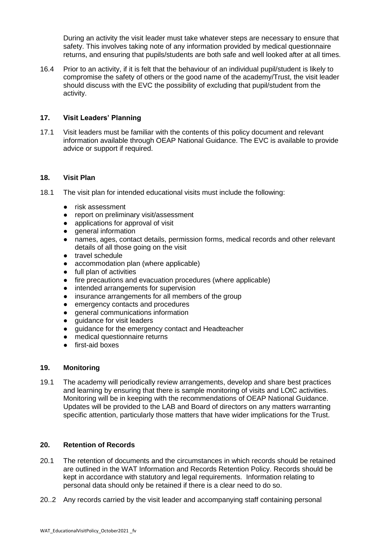During an activity the visit leader must take whatever steps are necessary to ensure that safety. This involves taking note of any information provided by medical questionnaire returns, and ensuring that pupils/students are both safe and well looked after at all times.

16.4 Prior to an activity, if it is felt that the behaviour of an individual pupil/student is likely to compromise the safety of others or the good name of the academy/Trust, the visit leader should discuss with the EVC the possibility of excluding that pupil/student from the activity.

#### **17. Visit Leaders' Planning**

17.1 Visit leaders must be familiar with the contents of this policy document and relevant information available through OEAP National Guidance. The EVC is available to provide advice or support if required.

#### **18. Visit Plan**

- 18.1 The visit plan for intended educational visits must include the following:
	- risk assessment
	- report on preliminary visit/assessment
	- applications for approval of visit
	- general information
	- names, ages, contact details, permission forms, medical records and other relevant details of all those going on the visit
	- travel schedule
	- accommodation plan (where applicable)
	- full plan of activities
	- fire precautions and evacuation procedures (where applicable)
	- intended arrangements for supervision
	- insurance arrangements for all members of the group
	- emergency contacts and procedures
	- general communications information
	- quidance for visit leaders
	- guidance for the emergency contact and Headteacher
	- medical questionnaire returns
	- first-aid boxes

#### **19. Monitoring**

19.1 The academy will periodically review arrangements, develop and share best practices and learning by ensuring that there is sample monitoring of visits and LOtC activities. Monitoring will be in keeping with the recommendations of OEAP National Guidance. Updates will be provided to the LAB and Board of directors on any matters warranting specific attention, particularly those matters that have wider implications for the Trust.

#### **20. Retention of Records**

- 20.1 The retention of documents and the circumstances in which records should be retained are outlined in the WAT Information and Records Retention Policy. Records should be kept in accordance with statutory and legal requirements. Information relating to personal data should only be retained if there is a clear need to do so.
- 20..2 Any records carried by the visit leader and accompanying staff containing personal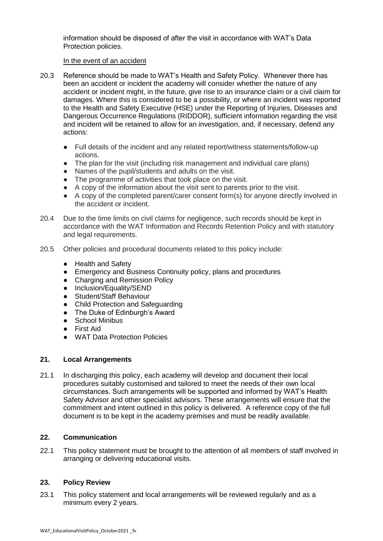information should be disposed of after the visit in accordance with WAT's Data Protection policies.

#### In the event of an accident

- 20.3 Reference should be made to WAT's Health and Safety Policy. Whenever there has been an accident or incident the academy will consider whether the nature of any accident or incident might, in the future, give rise to an insurance claim or a civil claim for damages. Where this is considered to be a possibility, or where an incident was reported to the Health and Safety Executive (HSE) under the Reporting of Injuries, Diseases and Dangerous Occurrence Regulations (RIDDOR), sufficient information regarding the visit and incident will be retained to allow for an investigation, and, if necessary, defend any actions:
	- Full details of the incident and any related report/witness statements/follow-up actions.
	- The plan for the visit (including risk management and individual care plans)
	- Names of the pupil/students and adults on the visit.
	- The programme of activities that took place on the visit.
	- A copy of the information about the visit sent to parents prior to the visit.
	- A copy of the completed parent/carer consent form(s) for anyone directly involved in the accident or incident.
- 20.4 Due to the time limits on civil claims for negligence, such records should be kept in accordance with the WAT Information and Records Retention Policy and with statutory and legal requirements.
- 20.5 Other policies and procedural documents related to this policy include:
	- Health and Safety
	- Emergency and Business Continuity policy, plans and procedures
	- Charging and Remission Policy
	- Inclusion/Equality/SEND
	- Student/Staff Behaviour
	- Child Protection and Safeguarding
	- The Duke of Edinburgh's Award
	- School Minibus
	- First Aid
	- WAT Data Protection Policies

#### **21. Local Arrangements**

21.1 In discharging this policy, each academy will develop and document their local procedures suitably customised and tailored to meet the needs of their own local circumstances. Such arrangements will be supported and informed by WAT's Health Safety Advisor and other specialist advisors. These arrangements will ensure that the commitment and intent outlined in this policy is delivered. A reference copy of the full document is to be kept in the academy premises and must be readily available.

#### **22. Communication**

22.1 This policy statement must be brought to the attention of all members of staff involved in arranging or delivering educational visits.

#### **23. Policy Review**

23.1 This policy statement and local arrangements will be reviewed regularly and as a minimum every 2 years.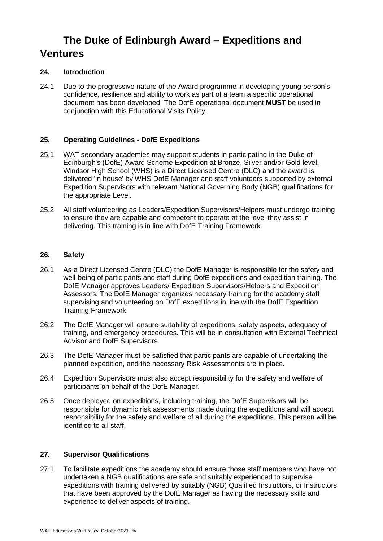# **The Duke of Edinburgh Award – Expeditions and Ventures**

#### **24. Introduction**

24.1 Due to the progressive nature of the Award programme in developing young person's confidence, resilience and ability to work as part of a team a specific operational document has been developed. The DofE operational document **MUST** be used in conjunction with this Educational Visits Policy.

#### **25. Operating Guidelines - DofE Expeditions**

- 25.1 WAT secondary academies may support students in participating in the Duke of Edinburgh's (DofE) Award Scheme Expedition at Bronze, Silver and/or Gold level. Windsor High School (WHS) is a Direct Licensed Centre (DLC) and the award is delivered 'in house' by WHS DofE Manager and staff volunteers supported by external Expedition Supervisors with relevant National Governing Body (NGB) qualifications for the appropriate Level.
- 25.2 All staff volunteering as Leaders/Expedition Supervisors/Helpers must undergo training to ensure they are capable and competent to operate at the level they assist in delivering. This training is in line with DofE Training Framework.

#### **26. Safety**

- 26.1 As a Direct Licensed Centre (DLC) the DofE Manager is responsible for the safety and well-being of participants and staff during DofE expeditions and expedition training. The DofE Manager approves Leaders/ Expedition Supervisors/Helpers and Expedition Assessors. The DofE Manager organizes necessary training for the academy staff supervising and volunteering on DofE expeditions in line with the DofE Expedition Training Framework
- 26.2 The DofE Manager will ensure suitability of expeditions, safety aspects, adequacy of training, and emergency procedures. This will be in consultation with External Technical Advisor and DofE Supervisors.
- 26.3 The DofE Manager must be satisfied that participants are capable of undertaking the planned expedition, and the necessary Risk Assessments are in place.
- 26.4 Expedition Supervisors must also accept responsibility for the safety and welfare of participants on behalf of the DofE Manager.
- 26.5 Once deployed on expeditions, including training, the DofE Supervisors will be responsible for dynamic risk assessments made during the expeditions and will accept responsibility for the safety and welfare of all during the expeditions. This person will be identified to all staff.

#### **27. Supervisor Qualifications**

27.1 To facilitate expeditions the academy should ensure those staff members who have not undertaken a NGB qualifications are safe and suitably experienced to supervise expeditions with training delivered by suitably (NGB) Qualified Instructors, or Instructors that have been approved by the DofE Manager as having the necessary skills and experience to deliver aspects of training.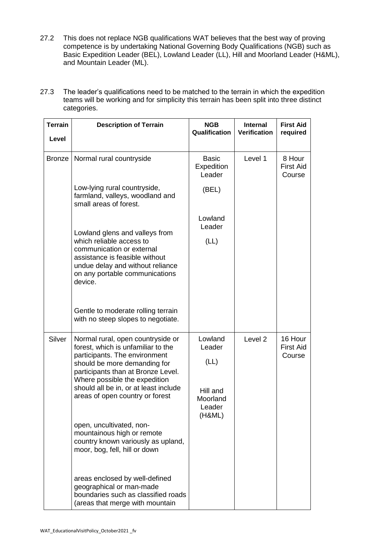- 27.2 This does not replace NGB qualifications WAT believes that the best way of proving competence is by undertaking National Governing Body Qualifications (NGB) such as Basic Expedition Leader (BEL), Lowland Leader (LL), Hill and Moorland Leader (H&ML), and Mountain Leader (ML).
- 27.3 The leader's qualifications need to be matched to the terrain in which the expedition teams will be working and for simplicity this terrain has been split into three distinct categories.

| <b>Terrain</b>                                                                                                                                                                                                            | <b>Description of Terrain</b>                                                                                                        | <b>NGB</b><br>Qualification              | <b>Internal</b><br><b>Verification</b> | <b>First Aid</b><br>required          |
|---------------------------------------------------------------------------------------------------------------------------------------------------------------------------------------------------------------------------|--------------------------------------------------------------------------------------------------------------------------------------|------------------------------------------|----------------------------------------|---------------------------------------|
| Level                                                                                                                                                                                                                     |                                                                                                                                      |                                          |                                        |                                       |
| <b>Bronze</b>                                                                                                                                                                                                             | Normal rural countryside                                                                                                             | <b>Basic</b><br>Expedition<br>Leader     | Level 1                                | 8 Hour<br><b>First Aid</b><br>Course  |
|                                                                                                                                                                                                                           | Low-lying rural countryside,<br>farmland, valleys, woodland and<br>small areas of forest.                                            | (BEL)                                    |                                        |                                       |
|                                                                                                                                                                                                                           | Lowland glens and valleys from<br>which reliable access to                                                                           | Lowland<br>Leader<br>(LL)                |                                        |                                       |
| communication or external<br>assistance is feasible without<br>undue delay and without reliance<br>on any portable communications<br>device.                                                                              |                                                                                                                                      |                                          |                                        |                                       |
|                                                                                                                                                                                                                           | Gentle to moderate rolling terrain<br>with no steep slopes to negotiate.                                                             |                                          |                                        |                                       |
| Silver<br>Normal rural, open countryside or<br>forest, which is unfamiliar to the<br>participants. The environment<br>should be more demanding for<br>participants than at Bronze Level.<br>Where possible the expedition |                                                                                                                                      | Lowland<br>Leader<br>(LL)                | Level <sub>2</sub>                     | 16 Hour<br><b>First Aid</b><br>Course |
|                                                                                                                                                                                                                           | should all be in, or at least include<br>areas of open country or forest                                                             | Hill and<br>Moorland<br>Leader<br>(H&ML) |                                        |                                       |
|                                                                                                                                                                                                                           | open, uncultivated, non-<br>mountainous high or remote<br>country known variously as upland,<br>moor, bog, fell, hill or down        |                                          |                                        |                                       |
|                                                                                                                                                                                                                           | areas enclosed by well-defined<br>geographical or man-made<br>boundaries such as classified roads<br>(areas that merge with mountain |                                          |                                        |                                       |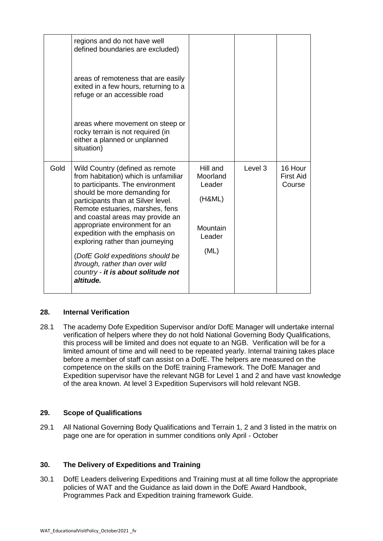|      | regions and do not have well<br>defined boundaries are excluded)                                                                                                                                                                                                                                                                                                                                                                                                              |                                                                        |         |                                |
|------|-------------------------------------------------------------------------------------------------------------------------------------------------------------------------------------------------------------------------------------------------------------------------------------------------------------------------------------------------------------------------------------------------------------------------------------------------------------------------------|------------------------------------------------------------------------|---------|--------------------------------|
|      | areas of remoteness that are easily<br>exited in a few hours, returning to a<br>refuge or an accessible road                                                                                                                                                                                                                                                                                                                                                                  |                                                                        |         |                                |
|      | areas where movement on steep or<br>rocky terrain is not required (in<br>either a planned or unplanned<br>situation)                                                                                                                                                                                                                                                                                                                                                          |                                                                        |         |                                |
| Gold | Wild Country (defined as remote<br>from habitation) which is unfamiliar<br>to participants. The environment<br>should be more demanding for<br>participants than at Silver level.<br>Remote estuaries, marshes, fens<br>and coastal areas may provide an<br>appropriate environment for an<br>expedition with the emphasis on<br>exploring rather than journeying<br>(DofE Gold expeditions should be<br>through, rather than over wild<br>country - it is about solitude not | Hill and<br>Moorland<br>Leader<br>(H&ML)<br>Mountain<br>Leader<br>(ML) | Level 3 | 16 Hour<br>First Aid<br>Course |
|      | altitude.                                                                                                                                                                                                                                                                                                                                                                                                                                                                     |                                                                        |         |                                |

#### **28. Internal Verification**

28.1 The academy Dofe Expedition Supervisor and/or DofE Manager will undertake internal verification of helpers where they do not hold National Governing Body Qualifications, this process will be limited and does not equate to an NGB. Verification will be for a limited amount of time and will need to be repeated yearly. Internal training takes place before a member of staff can assist on a DofE. The helpers are measured on the competence on the skills on the DofE training Framework. The DofE Manager and Expedition supervisor have the relevant NGB for Level 1 and 2 and have vast knowledge of the area known. At level 3 Expedition Supervisors will hold relevant NGB.

#### **29. Scope of Qualifications**

29.1 All National Governing Body Qualifications and Terrain 1, 2 and 3 listed in the matrix on page one are for operation in summer conditions only April - October

#### **30. The Delivery of Expeditions and Training**

30.1 DofE Leaders delivering Expeditions and Training must at all time follow the appropriate policies of WAT and the Guidance as laid down in the DofE Award Handbook, Programmes Pack and Expedition training framework Guide.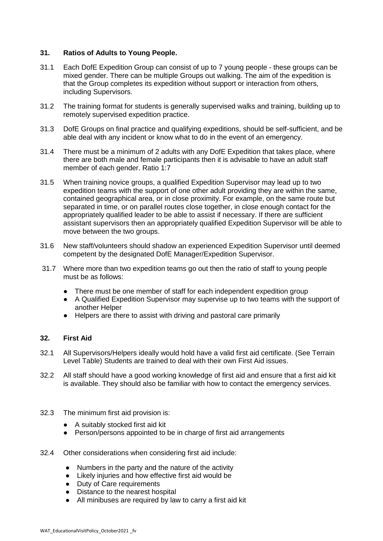#### **31. Ratios of Adults to Young People.**

- 31.1 Each DofE Expedition Group can consist of up to 7 young people these groups can be mixed gender. There can be multiple Groups out walking. The aim of the expedition is that the Group completes its expedition without support or interaction from others, including Supervisors.
- 31.2 The training format for students is generally supervised walks and training, building up to remotely supervised expedition practice.
- 31.3 DofE Groups on final practice and qualifying expeditions, should be self-sufficient, and be able deal with any incident or know what to do in the event of an emergency.
- 31.4 There must be a minimum of 2 adults with any DofE Expedition that takes place, where there are both male and female participants then it is advisable to have an adult staff member of each gender. Ratio 1:7
- 31.5 When training novice groups, a qualified Expedition Supervisor may lead up to two expedition teams with the support of one other adult providing they are within the same, contained geographical area, or in close proximity. For example, on the same route but separated in time, or on parallel routes close together, in close enough contact for the appropriately qualified leader to be able to assist if necessary. If there are sufficient assistant supervisors then an appropriately qualified Expedition Supervisor will be able to move between the two groups.
- 31.6 New staff/volunteers should shadow an experienced Expedition Supervisor until deemed competent by the designated DofE Manager/Expedition Supervisor.
- 31.7 Where more than two expedition teams go out then the ratio of staff to young people must be as follows:
	- There must be one member of staff for each independent expedition group
	- A Qualified Expedition Supervisor may supervise up to two teams with the support of another Helper
	- Helpers are there to assist with driving and pastoral care primarily

#### **32. First Aid**

- 32.1 All Supervisors/Helpers ideally would hold have a valid first aid certificate. (See Terrain Level Table) Students are trained to deal with their own First Aid issues.
- 32.2 All staff should have a good working knowledge of first aid and ensure that a first aid kit is available. They should also be familiar with how to contact the emergency services.
- 32.3 The minimum first aid provision is:
	- A suitably stocked first aid kit
	- Person/persons appointed to be in charge of first aid arrangements
- 32.4 Other considerations when considering first aid include:
	- Numbers in the party and the nature of the activity
	- Likely injuries and how effective first aid would be
	- Duty of Care requirements
	- Distance to the nearest hospital
	- All minibuses are required by law to carry a first aid kit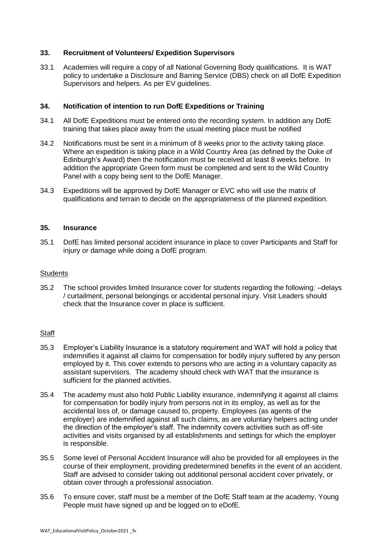#### **33. Recruitment of Volunteers/ Expedition Supervisors**

33.1 Academies will require a copy of all National Governing Body qualifications. It is WAT policy to undertake a Disclosure and Barring Service (DBS) check on all DofE Expedition Supervisors and helpers. As per EV guidelines.

#### **34. Notification of intention to run DofE Expeditions or Training**

- 34.1 All DofE Expeditions must be entered onto the recording system. In addition any DofE training that takes place away from the usual meeting place must be notified
- 34.2 Notifications must be sent in a minimum of 8 weeks prior to the activity taking place. Where an expedition is taking place in a Wild Country Area (as defined by the Duke of Edinburgh's Award) then the notification must be received at least 8 weeks before. In addition the appropriate Green form must be completed and sent to the Wild Country Panel with a copy being sent to the DofE Manager.
- 34.3 Expeditions will be approved by DofE Manager or EVC who will use the matrix of qualifications and terrain to decide on the appropriateness of the planned expedition.

#### **35. Insurance**

35.1 DofE has limited personal accident insurance in place to cover Participants and Staff for injury or damage while doing a DofE program.

#### **Students**

35.2 The school provides limited Insurance cover for students regarding the following: –delays / curtailment, personal belongings or accidental personal injury. Visit Leaders should check that the Insurance cover in place is sufficient.

#### **Staff**

- 35.3 Employer's Liability Insurance is a statutory requirement and WAT will hold a policy that indemnifies it against all claims for compensation for bodily injury suffered by any person employed by it. This cover extends to persons who are acting in a voluntary capacity as assistant supervisors. The academy should check with WAT that the insurance is sufficient for the planned activities.
- 35.4 The academy must also hold Public Liability insurance, indemnifying it against all claims for compensation for bodily injury from persons not in its employ, as well as for the accidental loss of, or damage caused to, property. Employees (as agents of the employer) are indemnified against all such claims, as are voluntary helpers acting under the direction of the employer's staff. The indemnity covers activities such as off-site activities and visits organised by all establishments and settings for which the employer is responsible.
- 35.5 Some level of Personal Accident Insurance will also be provided for all employees in the course of their employment, providing predetermined benefits in the event of an accident. Staff are advised to consider taking out additional personal accident cover privately, or obtain cover through a professional association.
- 35.6 To ensure cover, staff must be a member of the DofE Staff team at the academy, Young People must have signed up and be logged on to eDofE.